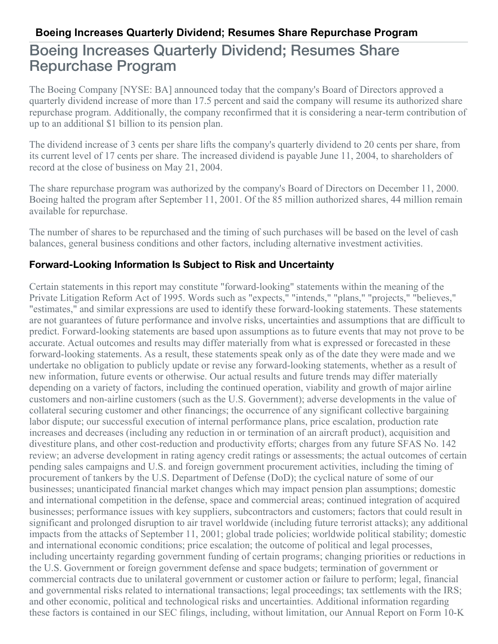## Boeing Increases Quarterly Dividend; Resumes Share Repurchase Program

The Boeing Company [NYSE: BA] announced today that the company's Board of Directors approved a quarterly dividend increase of more than 17.5 percent and said the company will resume its authorized share repurchase program. Additionally, the company reconfirmed that it is considering a near-term contribution of up to an additional \$1 billion to its pension plan.

The dividend increase of 3 cents per share lifts the company's quarterly dividend to 20 cents per share, from its current level of 17 cents per share. The increased dividend is payable June 11, 2004, to shareholders of record at the close of business on May 21, 2004.

The share repurchase program was authorized by the company's Board of Directors on December 11, 2000. Boeing halted the program after September 11, 2001. Of the 85 million authorized shares, 44 million remain available for repurchase.

The number of shares to be repurchased and the timing of such purchases will be based on the level of cash balances, general business conditions and other factors, including alternative investment activities.

## **Forward-Looking Information Is Subject to Risk and Uncertainty**

Certain statements in this report may constitute "forward-looking" statements within the meaning of the Private Litigation Reform Act of 1995. Words such as "expects," "intends," "plans," "projects," "believes," "estimates," and similar expressions are used to identify these forward-looking statements. These statements are not guarantees of future performance and involve risks, uncertainties and assumptions that are difficult to predict. Forward-looking statements are based upon assumptions as to future events that may not prove to be accurate. Actual outcomes and results may differ materially from what is expressed or forecasted in these forward-looking statements. As a result, these statements speak only as of the date they were made and we undertake no obligation to publicly update or revise any forward-looking statements, whether as a result of new information, future events or otherwise. Our actual results and future trends may differ materially depending on a variety of factors, including the continued operation, viability and growth of major airline customers and non-airline customers (such as the U.S. Government); adverse developments in the value of collateral securing customer and other financings; the occurrence of any significant collective bargaining labor dispute; our successful execution of internal performance plans, price escalation, production rate increases and decreases (including any reduction in or termination of an aircraft product), acquisition and divestiture plans, and other cost-reduction and productivity efforts; charges from any future SFAS No. 142 review; an adverse development in rating agency credit ratings or assessments; the actual outcomes of certain pending sales campaigns and U.S. and foreign government procurement activities, including the timing of procurement of tankers by the U.S. Department of Defense (DoD); the cyclical nature of some of our businesses; unanticipated financial market changes which may impact pension plan assumptions; domestic and international competition in the defense, space and commercial areas; continued integration of acquired businesses; performance issues with key suppliers, subcontractors and customers; factors that could result in significant and prolonged disruption to air travel worldwide (including future terrorist attacks); any additional impacts from the attacks of September 11, 2001; global trade policies; worldwide political stability; domestic and international economic conditions; price escalation; the outcome of political and legal processes, including uncertainty regarding government funding of certain programs; changing priorities or reductions in the U.S. Government or foreign government defense and space budgets; termination of government or commercial contracts due to unilateral government or customer action or failure to perform; legal, financial and governmental risks related to international transactions; legal proceedings; tax settlements with the IRS; and other economic, political and technological risks and uncertainties. Additional information regarding these factors is contained in our SEC filings, including, without limitation, our Annual Report on Form 10-K